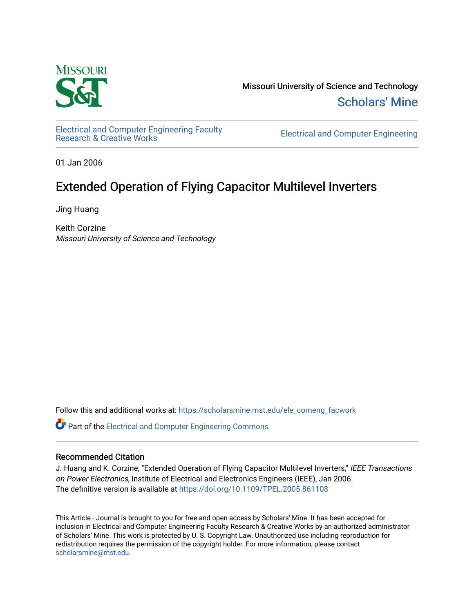

Missouri University of Science and Technology [Scholars' Mine](https://scholarsmine.mst.edu/) 

[Electrical and Computer Engineering Faculty](https://scholarsmine.mst.edu/ele_comeng_facwork)

**Electrical and Computer Engineering** 

01 Jan 2006

## Extended Operation of Flying Capacitor Multilevel Inverters

Jing Huang

Keith Corzine Missouri University of Science and Technology

Follow this and additional works at: [https://scholarsmine.mst.edu/ele\\_comeng\\_facwork](https://scholarsmine.mst.edu/ele_comeng_facwork?utm_source=scholarsmine.mst.edu%2Fele_comeng_facwork%2F750&utm_medium=PDF&utm_campaign=PDFCoverPages)

**P** Part of the Electrical and Computer Engineering Commons

### Recommended Citation

J. Huang and K. Corzine, "Extended Operation of Flying Capacitor Multilevel Inverters," IEEE Transactions on Power Electronics, Institute of Electrical and Electronics Engineers (IEEE), Jan 2006. The definitive version is available at <https://doi.org/10.1109/TPEL.2005.861108>

This Article - Journal is brought to you for free and open access by Scholars' Mine. It has been accepted for inclusion in Electrical and Computer Engineering Faculty Research & Creative Works by an authorized administrator of Scholars' Mine. This work is protected by U. S. Copyright Law. Unauthorized use including reproduction for redistribution requires the permission of the copyright holder. For more information, please contact [scholarsmine@mst.edu.](mailto:scholarsmine@mst.edu)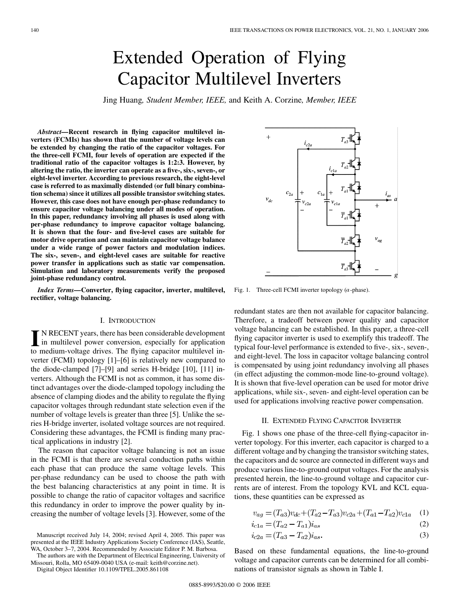# Extended Operation of Flying Capacitor Multilevel Inverters

Jing Huang*, Student Member, IEEE,* and Keith A. Corzine*, Member, IEEE*

*Abstract—***Recent research in flying capacitor multilevel inverters (FCMIs) has shown that the number of voltage levels can be extended by changing the ratio of the capacitor voltages. For the three-cell FCMI, four levels of operation are expected if the traditional ratio of the capacitor voltages is 1:2:3. However, by altering the ratio, the inverter can operate as a five-, six-, seven-, or eight-level inverter. According to previous research, the eight-level case is referred to as maximally distended (or full binary combination schema) since it utilizes all possible transistor switching states. However, this case does not have enough per-phase redundancy to ensure capacitor voltage balancing under all modes of operation. In this paper, redundancy involving all phases is used along with per-phase redundancy to improve capacitor voltage balancing. It is shown that the four- and five-level cases are suitable for motor drive operation and can maintain capacitor voltage balance under a wide range of power factors and modulation indices. The six-, seven-, and eight-level cases are suitable for reactive power transfer in applications such as static var compensation. Simulation and laboratory measurements verify the proposed joint-phase redundancy control.**

*Index Terms—***Converter, flying capacitor, inverter, multilevel, rectifier, voltage balancing.**

#### I. INTRODUCTION

**I** N RECENT years, there has been considerable development in multilevel power conversion, especially for application to medium-voltage drives. The flying capacitor multilevel inverter (FCMI) topology [\[1](#page-8-0)]–[[6\]](#page-8-0) is relatively new compared to the diode-clamped [\[7](#page-8-0)]–[[9\]](#page-8-0) and series H-bridge [\[10](#page-8-0)], [\[11](#page-8-0)] inverters. Although the FCMI is not as common, it has some distinct advantages over the diode-clamped topology including the absence of clamping diodes and the ability to regulate the flying capacitor voltages through redundant state selection even if the number of voltage levels is greater than three [\[5](#page-8-0)]. Unlike the series H-bridge inverter, isolated voltage sources are not required. Considering these advantages, the FCMI is finding many practical applications in industry [[2\]](#page-8-0).

The reason that capacitor voltage balancing is not an issue in the FCMI is that there are several conduction paths within each phase that can produce the same voltage levels. This per-phase redundancy can be used to choose the path with the best balancing characteristics at any point in time. It is possible to change the ratio of capacitor voltages and sacrifice this redundancy in order to improve the power quality by increasing the number of voltage levels [[3\]](#page-8-0). However, some of the

Digital Object Identifier 10.1109/TPEL.2005.861108



Fig. 1. Three-cell FCMI inverter topology (a-phase).

redundant states are then not available for capacitor balancing. Therefore, a tradeoff between power quality and capacitor voltage balancing can be established. In this paper, a three-cell flying capacitor inverter is used to exemplify this tradeoff. The typical four-level performance is extended to five-, six-, seven-, and eight-level. The loss in capacitor voltage balancing control is compensated by using joint redundancy involving all phases (in effect adjusting the common-mode line-to-ground voltage). It is shown that five-level operation can be used for motor drive applications, while six-, seven- and eight-level operation can be used for applications involving reactive power compensation.

#### II. EXTENDED FLYING CAPACITOR INVERTER

Fig. 1 shows one phase of the three-cell flying-capacitor inverter topology. For this inverter, each capacitor is charged to a different voltage and by changing the transistor switching states, the capacitors and dc source are connected in different ways and produce various line-to-ground output voltages. For the analysis presented herein, the line-to-ground voltage and capacitor currents are of interest. From the topology KVL and KCL equations, these quantities can be expressed as

$$
v_{ag} = (T_{a3})v_{dc} + (T_{a2} - T_{a3})v_{c2a} + (T_{a1} - T_{a2})v_{c1a} \quad (1)
$$

$$
i_{c1a} = (T_{a2} - T_{a1})i_{as} \tag{2}
$$

$$
i_{c2a} = (T_{a3} - T_{a2})i_{as}.
$$
\n(3)

Based on these fundamental equations, the line-to-ground voltage and capacitor currents can be determined for all combinations of transistor signals as shown in Table I.

Manuscript received July 14, 2004; revised April 4, 2005. This paper was presented at the IEEE Industry Applications Society Conference (IAS), Seattle, WA, October 3–7, 2004. Recommended by Associate Editor P. M. Barbosa.

The authors are with the Department of Electrical Engineering, University of Missouri, Rolla, MO 65409-0040 USA (e-mail: keith@corzine.net).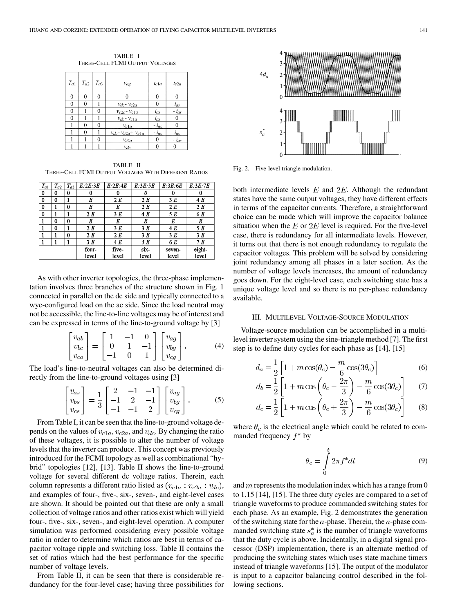TABLE I THREE-CELL FCMI OUTPUT VOLTAGES

| $T_{a1}$ | $T_{a2}$ | $T_{a3}$ | $v_{ag}$                         | $i_{c1a}$       | $i_{c2a}$ |
|----------|----------|----------|----------------------------------|-----------------|-----------|
| 0        | 0        | 0        | 0                                |                 |           |
| 0        |          |          | $Vdc - Vc2a$                     |                 | $i_{as}$  |
| 0        |          | 0        | $v_{c2a}$ - $v_{c1a}$            | i <sub>as</sub> | $-i_{as}$ |
| 0        |          |          | $v_{dc}$ - $v_{c1a}$             | i <sub>as</sub> |           |
|          | 0        | 0        | $v_{c1a}$                        | $-i_{as}$       |           |
|          | 0        |          | $v_{dc}$ - $v_{c2a}$ + $v_{c1a}$ | $-i_{as}$       | $i_{as}$  |
|          |          | 0        | $v_{c2a}$                        |                 | $-i_{as}$ |
|          |          |          | $v_{dc}$                         |                 |           |

TABLE II THREE-CELL FCMI OUTPUT VOLTAGES WITH DIFFERENT RATIOS

| $T_{a1}$    | $T_{a2}$ | $T_{a3}$ | E:2E:3E | E:2E:4E | E:3E:5E | E:3E:6E | E:3E:7E |
|-------------|----------|----------|---------|---------|---------|---------|---------|
| 0           | 0        | 0        | 0       |         |         |         |         |
| $\mathbf 0$ | 0        |          | E       | 2 E     | 2 E     | 3 E     | 4 E     |
| $\mathbf 0$ |          | $\theta$ | E       | E       | 2 E     | 2 E     | 2 E     |
| $\mathbf 0$ |          |          | 2E      | 3E      | 4 E     | 5 E     | 6 E     |
|             | 0        | $\theta$ | Е       | Е       | Е       | Е       | Е       |
|             | 0        |          | 2E      | 3 E     | 3 E     | 4 E     | 5 E     |
|             |          | $\bf{0}$ | 2E      | 2 E     | 3 E     | 3E      | 3E      |
|             |          |          | 3E      | 4 E     | 5 E     | 6 E     | 7 E     |
|             |          |          | four-   | five-   | six-    | seven-  | eight-  |
|             |          |          | level   | level   | level   | level   | level   |

As with other inverter topologies, the three-phase implementation involves three branches of the structure shown in Fig. 1 connected in parallel on the dc side and typically connected to a wye-configured load on the ac side. Since the load neutral may not be accessible, the line-to-line voltages may be of interest and can be expressed in terms of the line-to-ground voltage by [[3\]](#page-8-0)

$$
\begin{bmatrix} v_{ab} \\ v_{bc} \\ v_{ca} \end{bmatrix} = \begin{bmatrix} 1 & -1 & 0 \\ 0 & 1 & -1 \\ -1 & 0 & 1 \end{bmatrix} \begin{bmatrix} v_{ag} \\ v_{bg} \\ v_{cg} \end{bmatrix} . \tag{4}
$$

The load's line-to-neutral voltages can also be determined directly from the line-to-ground voltages using [[3\]](#page-8-0)

$$
\begin{bmatrix} v_{as} \\ v_{bs} \\ v_{cs} \end{bmatrix} = \frac{1}{3} \begin{bmatrix} 2 & -1 & -1 \\ -1 & 2 & -1 \\ -1 & -1 & 2 \end{bmatrix} \begin{bmatrix} v_{ag} \\ v_{bg} \\ v_{cg} \end{bmatrix}.
$$
 (5)

From Table I, it can be seen that the line-to-ground voltage depends on the values of  $v_{c1a}$ ,  $v_{c2a}$ , and  $v_{dc}$ . By changing the ratio of these voltages, it is possible to alter the number of voltage levels that the inverter can produce. This concept was previously introduced for the FCMI topology as well as combinational "hybrid" topologies [\[12](#page-8-0)], [[13\]](#page-8-0). Table II shows the line-to-ground voltage for several different dc voltage ratios. Therein, each column represents a different ratio listed as  $(v_{c1a}: v_{c2a}: v_{dc})$ , and examples of four-, five-, six-, seven-, and eight-level cases are shown. It should be pointed out that these are only a small collection of voltage ratios and other ratios exist which will yield four-, five-, six-, seven-, and eight-level operation. A computer simulation was performed considering every possible voltage ratio in order to determine which ratios are best in terms of capacitor voltage ripple and switching loss. Table II contains the set of ratios which had the best performance for the specific number of voltage levels.

From Table II, it can be seen that there is considerable redundancy for the four-level case; having three possibilities for



Fig. 2. Five-level triangle modulation.

both intermediate levels  $E$  and  $2E$ . Although the redundant states have the same output voltages, they have different effects in terms of the capacitor currents. Therefore, a straightforward choice can be made which will improve the capacitor balance situation when the  $E$  or  $2E$  level is required. For the five-level case, there is redundancy for all intermediate levels. However, it turns out that there is not enough redundancy to regulate the capacitor voltages. This problem will be solved by considering joint redundancy among all phases in a later section. As the number of voltage levels increases, the amount of redundancy goes down. For the eight-level case, each switching state has a unique voltage level and so there is no per-phase redundancy available.

#### III. MULTILEVEL VOLTAGE-SOURCE MODULATION

Voltage-source modulation can be accomplished in a multilevel inverter system using the sine-triangle method [[7\]](#page-8-0). The first step is to define duty cycles for each phase as [\[14](#page-8-0)], [[15\]](#page-8-0)

$$
d_a = \frac{1}{2} \left[ 1 + m \cos(\theta_c) - \frac{m}{6} \cos(3\theta_c) \right]
$$
 (6)

$$
d_b = \frac{1}{2} \left[ 1 + m \cos \left( \theta_c - \frac{2\pi}{3} \right) - \frac{m}{6} \cos(3\theta_c) \right] \tag{7}
$$

$$
d_c = \frac{1}{2} \left[ 1 + m \cos \left( \theta_c + \frac{2\pi}{3} \right) - \frac{m}{6} \cos(3\theta_c) \right]
$$
 (8)

where  $\theta_c$  is the electrical angle which could be related to commanded frequency  $f^*$  by

$$
\theta_c = \int_0^t 2\pi f^* dt \tag{9}
$$

and  $m$  represents the modulation index which has a range from 0 to 1.15 [[14\]](#page-8-0), [[15\]](#page-8-0). The three duty cycles are compared to a set of triangle waveforms to produce commanded switching states for each phase. As an example, Fig. 2 demonstrates the generation of the switching state for the  $a$ -phase. Therein, the  $a$ -phase commanded switching state  $s_a^*$  is the number of triangle waveforms that the duty cycle is above. Incidentally, in a digital signal processor (DSP) implementation, there is an alternate method of producing the switching states which uses state machine timers instead of triangle waveforms [[15\]](#page-8-0). The output of the modulator is input to a capacitor balancing control described in the following sections.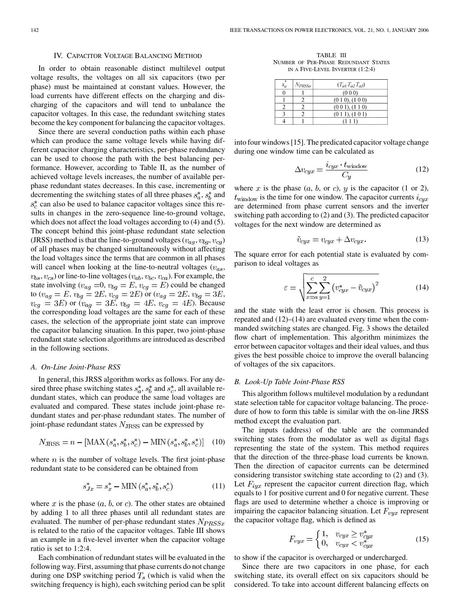#### IV. CAPACITOR VOLTAGE BALANCING METHOD

In order to obtain reasonable distinct multilevel output voltage results, the voltages on all six capacitors (two per phase) must be maintained at constant values. However, the load currents have different effects on the charging and discharging of the capacitors and will tend to unbalance the capacitor voltages. In this case, the redundant switching states become the key component for balancing the capacitor voltages.

Since there are several conduction paths within each phase which can produce the same voltage levels while having different capacitor charging characteristics, per-phase redundancy can be used to choose the path with the best balancing performance. However, according to Table II, as the number of achieved voltage levels increases, the number of available perphase redundant states decreases. In this case, incrementing or decrementing the switching states of all three phases  $s_a^*$ ,  $s_b^*$  and  $s_c^*$  can also be used to balance capacitor voltages since this results in changes in the zero-sequence line-to-ground voltage, which does not affect the load voltages according to (4) and (5). The concept behind this joint-phase redundant state selection (JRSS) method is that the line-to-ground voltages ( $v_{aa}, v_{ba}, v_{ca}$ ) of all phases may be changed simultaneously without affecting the load voltages since the terms that are common in all phases will cancel when looking at the line-to-neutral voltages  $(v_{as},$  $(v_{bs}, v_{cs})$  or line-to-line voltages ( $v_{ab}, v_{bc}, v_{ca}$ ). For example, the state involving  $(v_{ag} = 0, v_{bg} = E, v_{cg} = E)$  could be changed to  $(v_{ag} = E, v_{bg} = 2E, v_{cg} = 2E)$  or  $(v_{ag} = 2E, v_{bg} = 3E,$ ) or  $(v_{ag} = 3E, v_{bg} = 4E, v_{cg} = 4E)$ . Because the corresponding load voltages are the same for each of these cases, the selection of the appropriate joint state can improve the capacitor balancing situation. In this paper, two joint-phase redundant state selection algorithms are introduced as described in the following sections.

#### *A. On-Line Joint-Phase RSS*

In general, this JRSS algorithm works as follows. For any desired three phase switching states  $s_a^*$ ,  $s_b^*$  and  $s_c^*$ , all available redundant states, which can produce the same load voltages are evaluated and compared. These states include joint-phase redundant states and per-phase redundant states. The number of joint-phase redundant states  $N_{\text{JRSS}}$  can be expressed by

$$
N_{\text{JRSS}} = n - \left[ \text{MAX} \left( s_a^*, s_b^*, s_c^* \right) - \text{MIN} \left( s_a^*, s_b^*, s_c^* \right) \right] \tag{10}
$$

where  $n$  is the number of voltage levels. The first joint-phase redundant state to be considered can be obtained from

$$
s_{Jx}^* = s_x^* - \text{MIN}(s_a^*, s_b^*, s_c^*)
$$
 (11)

where x is the phase  $(a, b, or c)$ . The other states are obtained by adding 1 to all three phases until all redundant states are evaluated. The number of per-phase redundant states  $N_{PRSSx}$ is related to the ratio of the capacitor voltages. Table III shows an example in a five-level inverter when the capacitor voltage ratio is set to 1:2:4.

Each combination of redundant states will be evaluated in the following way. First, assuming that phase currents do not change during one DSP switching period  $T_s$  (which is valid when the switching frequency is high), each switching period can be split

TABLE III NUMBER OF PER-PHASE REDUNDANT STATES IN A FIVE-LEVEL INVERTER (1:2:4)

| *<br>$S_{\alpha}$ | $N_{PRSSa}$ | $(T_{a1}T_{a2}T_{a3})$ |
|-------------------|-------------|------------------------|
|                   |             | (000)                  |
|                   |             | (010), (100)           |
|                   |             | (0 0 1), (1 1 0)       |
|                   |             | (011), (101)           |
|                   |             |                        |

into four windows [[15\]](#page-8-0). The predicated capacitor voltage change during one window time can be calculated as

$$
\Delta v_{cyx} = \frac{i_{cyx} \cdot t_{\text{window}}}{C_y} \tag{12}
$$

where x is the phase  $(a, b, or c)$ , y is the capacitor (1 or 2),  $t_{\text{window}}$  is the time for one window. The capacitor currents  $i_{\text{c}yx}$ are determined from phase current sensors and the inverter switching path according to (2) and (3). The predicted capacitor voltages for the next window are determined as

$$
\tilde{v}_{cyx} = v_{cyx} + \Delta v_{cyx}.\tag{13}
$$

The square error for each potential state is evaluated by comparison to ideal voltages as

$$
\varepsilon = \sqrt{\sum_{x=a}^{c} \sum_{y=1}^{2} (v_{cyx}^* - \tilde{v}_{cyx})^2}
$$
 (14)

and the state with the least error is chosen. This process is repeated and (12)–(14) are evaluated every time when the commanded switching states are changed. Fig. 3 shows the detailed flow chart of implementation. This algorithm minimizes the error between capacitor voltages and their ideal values, and thus gives the best possible choice to improve the overall balancing of voltages of the six capacitors.

#### *B. Look-Up Table Joint-Phase RSS*

This algorithm follows multilevel modulation by a redundant state selection table for capacitor voltage balancing. The procedure of how to form this table is similar with the on-line JRSS method except the evaluation part.

The inputs (address) of the table are the commanded switching states from the modulator as well as digital flags representing the state of the system. This method requires that the direction of the three-phase load currents be known. Then the direction of capacitor currents can be determined considering transistor switching state according to (2) and (3). Let  $F_{iyx}$  represent the capacitor current direction flag, which equals to 1 for positive current and 0 for negative current. These flags are used to determine whether a choice is improving or impairing the capacitor balancing situation. Let  $F_{vux}$  represent the capacitor voltage flag, which is defined as

$$
F_{vyx} = \begin{cases} 1, & v_{cyx} \ge v_{cyx}^* \\ 0, & v_{cyx} < v_{cyx}^* \end{cases} \tag{15}
$$

to show if the capacitor is overcharged or undercharged.

Since there are two capacitors in one phase, for each switching state, its overall effect on six capacitors should be considered. To take into account different balancing effects on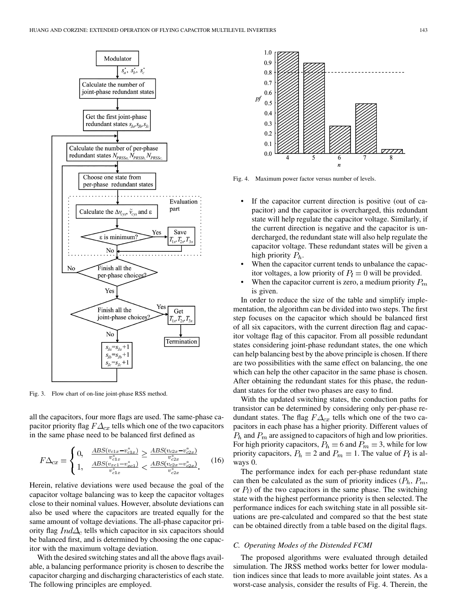

Fig. 3. Flow chart of on-line joint-phase RSS method.

all the capacitors, four more flags are used. The same-phase capacitor priority flag  $F\Delta_{cx}$  tells which one of the two capacitors in the same phase need to be balanced first defined as

$$
F\Delta_{cx} = \begin{cases} 0, & \frac{ABS(v_{c1x} - v_{c1x}^*)}{v_{c1x}^*} \ge \frac{ABS(v_{c2x} - v_{c2x}^*)}{v_{c2x}^*} \\ 1, & \frac{ABS(v_{xc1} - v_{xc1}^*)}{v_{c1x}^*} < \frac{ABS(v_{c2x} - v_{c2x}^*)}{v_{c2x}^*}. \end{cases} \tag{16}
$$

Herein, relative deviations were used because the goal of the capacitor voltage balancing was to keep the capacitor voltages close to their nominal values. However, absolute deviations can also be used where the capacitors are treated equally for the same amount of voltage deviations. The all-phase capacitor priority flag  $Ind\Delta_c$  tells which capacitor in six capacitors should be balanced first, and is determined by choosing the one capacitor with the maximum voltage deviation.

With the desired switching states and all the above flags available, a balancing performance priority is chosen to describe the capacitor charging and discharging characteristics of each state. The following principles are employed.



Fig. 4. Maximum power factor versus number of levels.

- If the capacitor current direction is positive (out of capacitor) and the capacitor is overcharged, this redundant state will help regulate the capacitor voltage. Similarly, if the current direction is negative and the capacitor is undercharged, the redundant state will also help regulate the capacitor voltage. These redundant states will be given a high priority  $P_h$ .
- When the capacitor current tends to unbalance the capacitor voltages, a low priority of  $P_l = 0$  will be provided.
- When the capacitor current is zero, a medium priority  $P_m$ is given.

In order to reduce the size of the table and simplify implementation, the algorithm can be divided into two steps. The first step focuses on the capacitor which should be balanced first of all six capacitors, with the current direction flag and capacitor voltage flag of this capacitor. From all possible redundant states considering joint-phase redundant states, the one which can help balancing best by the above principle is chosen. If there are two possibilities with the same effect on balancing, the one which can help the other capacitor in the same phase is chosen. After obtaining the redundant states for this phase, the redundant states for the other two phases are easy to find.

With the updated switching states, the conduction paths for transistor can be determined by considering only per-phase redundant states. The flag  $F\Delta_{cx}$  tells which one of the two capacitors in each phase has a higher priority. Different values of  $P_h$  and  $P_m$  are assigned to capacitors of high and low priorities. For high priority capacitors,  $P_h = 6$  and  $P_m = 3$ , while for low priority capacitors,  $P_h = 2$  and  $P_m = 1$ . The value of  $P_l$  is always 0.

The performance index for each per-phase redundant state can then be calculated as the sum of priority indices  $(P_h, P_m, \ldots, P_m)$ or  $P_l$ ) of the two capacitors in the same phase. The switching state with the highest performance priority is then selected. The performance indices for each switching state in all possible situations are pre-calculated and compared so that the best state can be obtained directly from a table based on the digital flags.

#### *C. Operating Modes of the Distended FCMI*

The proposed algorithms were evaluated through detailed simulation. The JRSS method works better for lower modulation indices since that leads to more available joint states. As a worst-case analysis, consider the results of Fig. 4. Therein, the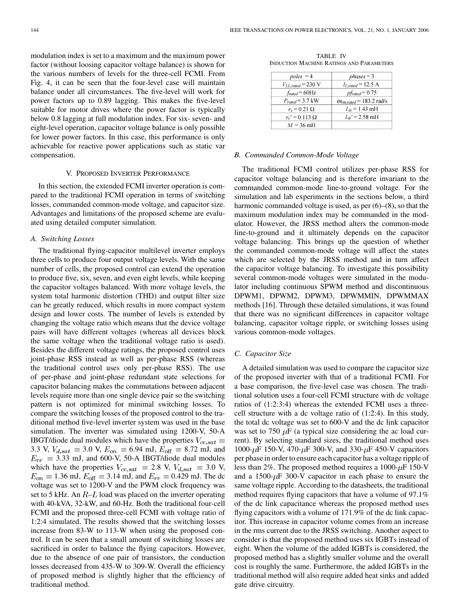modulation index is set to a maximum and the maximum power factor (without loosing capacitor voltage balance) is shown for the various numbers of levels for the three-cell FCMI. From Fig. 4, it can be seen that the four-level case will maintain balance under all circumstances. The five-level will work for power factors up to 0.89 lagging. This makes the five-level suitable for motor drives where the power factor is typically below 0.8 lagging at full modulation index. For six- seven- and eight-level operation, capacitor voltage balance is only possible for lower power factors. In this case, this performance is only achievable for reactive power applications such as static var compensation.

#### V. PROPOSED INVERTER PERFORMANCE

In this section, the extended FCMI inverter operation is compared to the traditional FCMI operation in terms of switching losses, commanded common-mode voltage, and capacitor size. Advantages and limitations of the proposed scheme are evaluated using detailed computer simulation.

#### *A. Switching Losses*

The traditional flying-capacitor multilevel inverter employs three cells to produce four output voltage levels. With the same number of cells, the proposed control can extend the operation to produce five, six, seven, and even eight levels, while keeping the capacitor voltages balanced. With more voltage levels, the system total harmonic distortion (THD) and output filter size can be greatly reduced, which results in more compact system design and lower costs. The number of levels is extended by changing the voltage ratio which means that the device voltage pairs will have different voltages (whereas all devices block the same voltage when the traditional voltage ratio is used). Besides the different voltage ratings, the proposed control uses joint-phase RSS instead as well as per-phase RSS (whereas the traditional control uses only per-phase RSS). The use of per-phase and joint-phase redundant state selections for capacitor balancing makes the commutations between adjacent levels require more than one single device pair so the switching pattern is not optimized for minimal switching losses. To compare the switching losses of the proposed control to the traditional method five-level inverter system was used in the base simulation. The inverter was simulated using 1200-V, 50-A IBGT/diode dual modules which have the properties  $V_{ce,sat}$  = 3.3 V,  $V_{d, sat} = 3.0$  V,  $E_{on} = 6.94$  mJ,  $E_{off} = 8.72$  mJ, and  $E_{rr}$  = 3.33 mJ, and 600-V, 50-A IBGT/diode dual modules which have the properties  $V_{ce,sat}$  = 2.8 V,  $V_{d,sat}$  = 3.0 V,  $E_{on} = 1.36$  mJ,  $E_{off} = 3.14$  mJ, and  $E_{rr} = 0.429$  mJ. The dc voltage was set to 1200-V and the PWM clock frequency was set to 5 kHz. An  $R-L$  load was placed on the inverter operating with 40-kVA, 32-kW, and 60-Hz. Both the traditional four-cell FCMI and the proposed three-cell FCMI with voltage ratio of 1:2:4 simulated. The results showed that the switching losses increase from 83-W to 113-W when using the proposed control. It can be seen that a small amount of switching losses are sacrificed in order to balance the flying capacitors. However, due to the absence of one pair of transistors, the conduction losses decreased from 435-W to 309-W. Overall the efficiency of proposed method is slightly higher that the efficiency of traditional method.

TABLE IV INDUCTION MACHINE RATINGS AND PARAMETERS

| $poles = 4$            | $phases = 3$                      |
|------------------------|-----------------------------------|
| $V_{LL,rated}$ = 230 V | $I_{L,rated} = 12.5 \text{ A}$    |
| $f_{rad} = 60$ Hz      | $pf_{rated} = 0.75$               |
| $P_{rad} = 3.7$ kW     | $\omega_{rm,rated}$ = 183.2 rad/s |
| $r_s = 0.21 \Omega$    | $L_k$ = 1.43 mH                   |
| $r_r' = 0.113 \Omega$  | $L_{h}$ ' = 2.58 mH               |
| $M = 36$ mH            |                                   |

#### *B. Commanded Common-Mode Voltage*

The traditional FCMI control utilizes per-phase RSS for capacitor voltage balancing and is therefore invariant to the commanded common-mode line-to-ground voltage. For the simulation and lab experiments in the sections below, a third harmonic commanded voltage is used, as per (6)–(8), so that the maximum modulation index may be commanded in the modulator. However, the JRSS method alters the common-mode line-to-ground and it ultimately depends on the capacitor voltage balancing. This brings up the question of whether the commanded common-mode voltage will affect the states which are selected by the JRSS method and in turn affect the capacitor voltage balancing. To investigate this possibility several common-mode voltages were simulated in the modulator including continuous SPWM method and discontinuous DPWM1, DPWM2, DPWM3, DPWMMIN, DPWMMAX methods [\[16](#page-8-0)]. Through these detailed simulations, it was found that there was no significant differences in capacitor voltage balancing, capacitor voltage ripple, or switching losses using various common-mode voltages.

#### *C. Capacitor Size*

A detailed simulation was used to compare the capacitor size of the proposed inverter with that of a traditional FCMI. For a base comparison, the five-level case was chosen. The traditional solution uses a four-cell FCMI structure with dc voltage ratios of (1:2:3:4) whereas the extended FCMI uses a threecell structure with a dc voltage ratio of (1:2:4). In this study, the total dc voltage was set to 600-V and the dc link capacitor was set to 750  $\mu$ F (a typical size considering the ac load current). By selecting standard sizes, the traditional method uses 1000- $\mu$ F 150-V, 470- $\mu$ F 300-V, and 330- $\mu$ F 450-V capacitors per phase in order to ensure each capacitor has a voltage ripple of less than 2%. The proposed method requires a  $1000-\mu$ F 150-V and a 1500- $\mu$ F 300-V capacitor in each phase to ensure the same voltage ripple. According to the datasheets, the traditional method requires flying capacitors that have a volume of 97.1% of the dc link capacitance whereas the proposed method uses flying capacitors with a volume of 171.9% of the dc link capacitor. This increase in capacitor volume comes from an increase in the rms current due to the JRSS switching. Another aspect to consider is that the proposed method uses six IGBTs instead of eight. When the volume of the added IGBTs is considered, the proposed method has a slightly smaller volume and the overall cost is roughly the same. Furthermore, the added IGBTs in the traditional method will also require added heat sinks and added gate drive circuitry.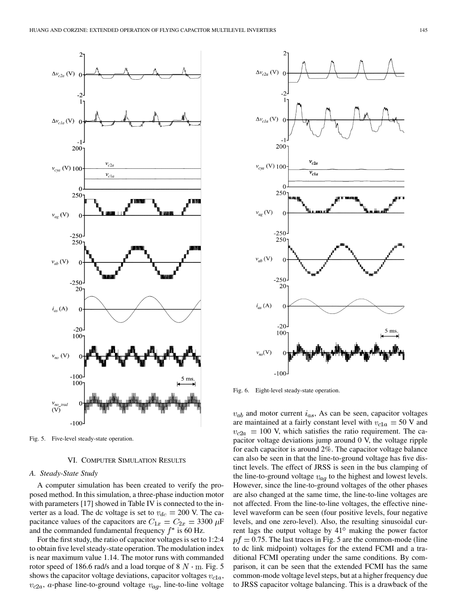

Fig. 5. Five-level steady-state operation.

#### VI. COMPUTER SIMULATION RESULTS

#### *A. Steady-State Study*

A computer simulation has been created to verify the proposed method. In this simulation, a three-phase induction motor with parameters [\[17](#page-8-0)] showed in Table IV is connected to the inverter as a load. The dc voltage is set to  $v_{dc} = 200$  V. The capacitance values of the capacitors are  $C_{1x} = C_{2x} = 3300 \mu F$ and the commanded fundamental frequency  $f^*$  is 60 Hz.

For the first study, the ratio of capacitor voltages is set to 1:2:4 to obtain five level steady-state operation. The modulation index is near maximum value 1.14. The motor runs with commanded rotor speed of 186.6 rad/s and a load torque of  $8 N \cdot m$ . Fig. 5 shows the capacitor voltage deviations, capacitor voltages  $v_{c1a}$ ,  $v_{c2a}$ , a-phase line-to-ground voltage  $v_{ag}$ , line-to-line voltage



Fig. 6. Eight-level steady-state operation.

 $v_{ab}$  and motor current  $i_{as}$ , As can be seen, capacitor voltages are maintained at a fairly constant level with  $v_{c1a} = 50$  V and  $v_{c2a} = 100$  V, which satisfies the ratio requirement. The capacitor voltage deviations jump around 0 V, the voltage ripple for each capacitor is around 2%. The capacitor voltage balance can also be seen in that the line-to-ground voltage has five distinct levels. The effect of JRSS is seen in the bus clamping of the line-to-ground voltage  $v_{aq}$  to the highest and lowest levels. However, since the line-to-ground voltages of the other phases are also changed at the same time, the line-to-line voltages are not affected. From the line-to-line voltages, the effective ninelevel waveform can be seen (four positive levels, four negative levels, and one zero-level). Also, the resulting sinusoidal current lags the output voltage by  $41^\circ$  making the power factor  $pf = 0.75$ . The last traces in Fig. 5 are the common-mode (line to dc link midpoint) voltages for the extend FCMI and a traditional FCMI operating under the same conditions. By comparison, it can be seen that the extended FCMI has the same common-mode voltage level steps, but at a higher frequency due to JRSS capacitor voltage balancing. This is a drawback of the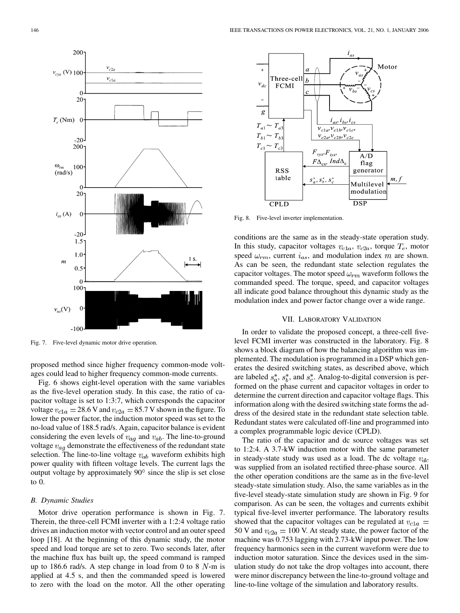

Fig. 7. Five-level dynamic motor drive operation.

proposed method since higher frequency common-mode voltages could lead to higher frequency common-mode currents.

Fig. 6 shows eight-level operation with the same variables as the five-level operation study. In this case, the ratio of capacitor voltage is set to 1:3:7, which corresponds the capacitor voltage  $v_{c1a} = 28.6$  V and  $v_{c2a} = 85.7$  V shown in the figure. To lower the power factor, the induction motor speed was set to the no-load value of 188.5 rad/s. Again, capacitor balance is evident considering the even levels of  $v_{ag}$  and  $v_{ab}$ . The line-to-ground voltage  $v_{aq}$  demonstrate the effectiveness of the redundant state selection. The line-to-line voltage  $v_{ab}$  waveform exhibits high power quality with fifteen voltage levels. The current lags the output voltage by approximately  $90^\circ$  since the slip is set close to 0.

#### *B. Dynamic Studies*

Motor drive operation performance is shown in Fig. 7. Therein, the three-cell FCMI inverter with a 1:2:4 voltage ratio drives an induction motor with vector control and an outer speed loop [\[18](#page-8-0)]. At the beginning of this dynamic study, the motor speed and load torque are set to zero. Two seconds later, after the machine flux has built up, the speed command is ramped up to 186.6 rad/s. A step change in load from 0 to 8  $N \cdot m$  is applied at 4.5 s, and then the commanded speed is lowered to zero with the load on the motor. All the other operating



Fig. 8. Five-level inverter implementation.

conditions are the same as in the steady-state operation study. In this study, capacitor voltages  $v_{c1a}$ ,  $v_{c2a}$ , torque  $T_e$ , motor speed  $\omega_{rm}$ , current  $i_{as}$ , and modulation index m are shown. As can be seen, the redundant state selection regulates the capacitor voltages. The motor speed  $\omega_{rm}$  waveform follows the commanded speed. The torque, speed, and capacitor voltages all indicate good balance throughout this dynamic study as the modulation index and power factor change over a wide range.

#### VII. LABORATORY VALIDATION

In order to validate the proposed concept, a three-cell fivelevel FCMI inverter was constructed in the laboratory. Fig. 8 shows a block diagram of how the balancing algorithm was implemented. The modulation is programmed in a DSP which generates the desired switching states, as described above, which are labeled  $s_a^*$ ,  $s_b^*$ , and  $s_c^*$ . Analog-to-digital conversion is performed on the phase current and capacitor voltages in order to determine the current direction and capacitor voltage flags. This information along with the desired switching state forms the address of the desired state in the redundant state selection table. Redundant states were calculated off-line and programmed into a complex programmable logic device (CPLD).

The ratio of the capacitor and dc source voltages was set to 1:2:4. A 3.7-kW induction motor with the same parameter in steady-state study was used as a load. The dc voltage  $v_{dc}$ was supplied from an isolated rectified three-phase source. All the other operation conditions are the same as in the five-level steady-state simulation study. Also, the same variables as in the five-level steady-state simulation study are shown in Fig. 9 for comparison. As can be seen, the voltages and currents exhibit typical five-level inverter performance. The laboratory results showed that the capacitor voltages can be regulated at  $v_{c1a} =$ 50 V and  $v_{c2a} = 100$  V. At steady state, the power factor of the machine was 0.753 lagging with 2.73-kW input power. The low frequency harmonics seen in the current waveform were due to induction motor saturation. Since the devices used in the simulation study do not take the drop voltages into account, there were minor discrepancy between the line-to-ground voltage and line-to-line voltage of the simulation and laboratory results.